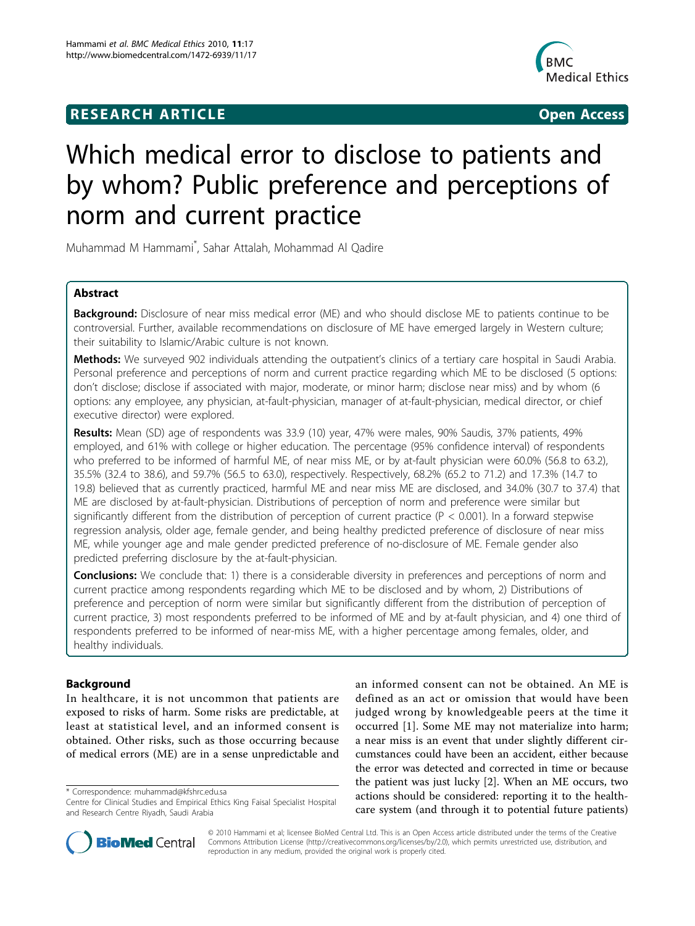## **RESEARCH ARTICLE Example 2018 CONSIDERING ACCESS**



# Which medical error to disclose to patients and by whom? Public preference and perceptions of norm and current practice

Muhammad M Hammami\* , Sahar Attalah, Mohammad Al Qadire

## Abstract

Background: Disclosure of near miss medical error (ME) and who should disclose ME to patients continue to be controversial. Further, available recommendations on disclosure of ME have emerged largely in Western culture; their suitability to Islamic/Arabic culture is not known.

Methods: We surveyed 902 individuals attending the outpatient's clinics of a tertiary care hospital in Saudi Arabia. Personal preference and perceptions of norm and current practice regarding which ME to be disclosed (5 options: don't disclose; disclose if associated with major, moderate, or minor harm; disclose near miss) and by whom (6 options: any employee, any physician, at-fault-physician, manager of at-fault-physician, medical director, or chief executive director) were explored.

Results: Mean (SD) age of respondents was 33.9 (10) year, 47% were males, 90% Saudis, 37% patients, 49% employed, and 61% with college or higher education. The percentage (95% confidence interval) of respondents who preferred to be informed of harmful ME, of near miss ME, or by at-fault physician were 60.0% (56.8 to 63.2), 35.5% (32.4 to 38.6), and 59.7% (56.5 to 63.0), respectively. Respectively, 68.2% (65.2 to 71.2) and 17.3% (14.7 to 19.8) believed that as currently practiced, harmful ME and near miss ME are disclosed, and 34.0% (30.7 to 37.4) that ME are disclosed by at-fault-physician. Distributions of perception of norm and preference were similar but significantly different from the distribution of perception of current practice (P < 0.001). In a forward stepwise regression analysis, older age, female gender, and being healthy predicted preference of disclosure of near miss ME, while younger age and male gender predicted preference of no-disclosure of ME. Female gender also predicted preferring disclosure by the at-fault-physician.

Conclusions: We conclude that: 1) there is a considerable diversity in preferences and perceptions of norm and current practice among respondents regarding which ME to be disclosed and by whom, 2) Distributions of preference and perception of norm were similar but significantly different from the distribution of perception of current practice, 3) most respondents preferred to be informed of ME and by at-fault physician, and 4) one third of respondents preferred to be informed of near-miss ME, with a higher percentage among females, older, and healthy individuals.

## Background

In healthcare, it is not uncommon that patients are exposed to risks of harm. Some risks are predictable, at least at statistical level, and an informed consent is obtained. Other risks, such as those occurring because of medical errors (ME) are in a sense unpredictable and

\* Correspondence: [muhammad@kfshrc.edu.sa](mailto:muhammad@kfshrc.edu.sa)

an informed consent can not be obtained. An ME is defined as an act or omission that would have been judged wrong by knowledgeable peers at the time it occurred [\[1](#page-9-0)]. Some ME may not materialize into harm; a near miss is an event that under slightly different circumstances could have been an accident, either because the error was detected and corrected in time or because the patient was just lucky [[2\]](#page-9-0). When an ME occurs, two actions should be considered: reporting it to the healthcare system (and through it to potential future patients)



© 2010 Hammami et al; licensee BioMed Central Ltd. This is an Open Access article distributed under the terms of the Creative Commons Attribution License [\(http://creativecommons.org/licenses/by/2.0](http://creativecommons.org/licenses/by/2.0)), which permits unrestricted use, distribution, and reproduction in any medium, provided the original work is properly cited.

Centre for Clinical Studies and Empirical Ethics King Faisal Specialist Hospital and Research Centre Riyadh, Saudi Arabia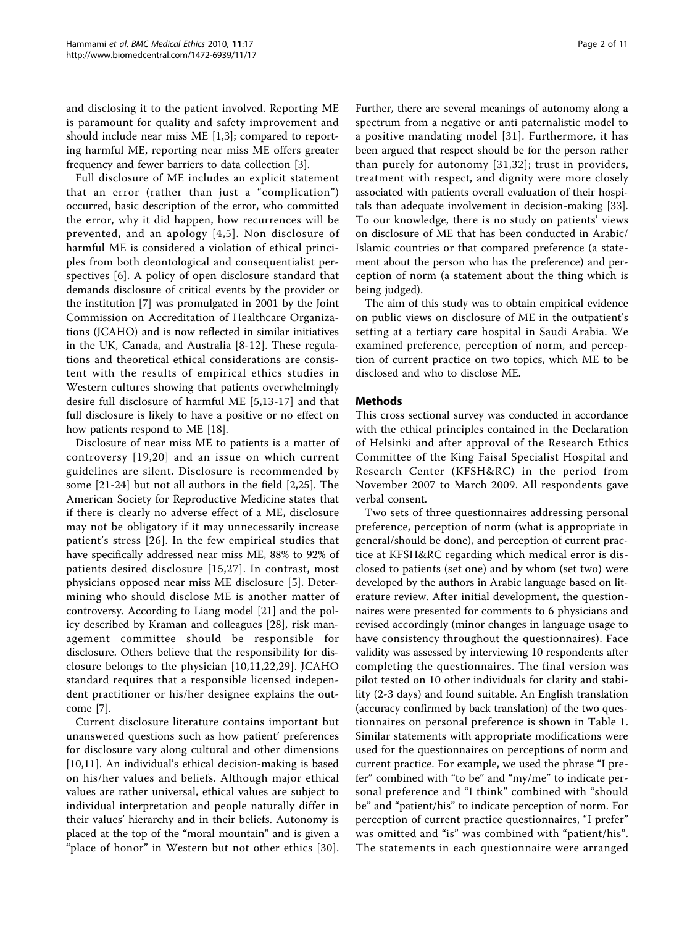and disclosing it to the patient involved. Reporting ME is paramount for quality and safety improvement and should include near miss ME [\[1,3](#page-9-0)]; compared to reporting harmful ME, reporting near miss ME offers greater frequency and fewer barriers to data collection [\[3](#page-9-0)].

Full disclosure of ME includes an explicit statement that an error (rather than just a "complication") occurred, basic description of the error, who committed the error, why it did happen, how recurrences will be prevented, and an apology [[4,5\]](#page-9-0). Non disclosure of harmful ME is considered a violation of ethical principles from both deontological and consequentialist perspectives [[6\]](#page-9-0). A policy of open disclosure standard that demands disclosure of critical events by the provider or the institution [\[7\]](#page-9-0) was promulgated in 2001 by the Joint Commission on Accreditation of Healthcare Organizations (JCAHO) and is now reflected in similar initiatives in the UK, Canada, and Australia [[8](#page-9-0)-[12\]](#page-9-0). These regulations and theoretical ethical considerations are consistent with the results of empirical ethics studies in Western cultures showing that patients overwhelmingly desire full disclosure of harmful ME [\[5](#page-9-0),[13-17\]](#page-9-0) and that full disclosure is likely to have a positive or no effect on how patients respond to ME [[18](#page-9-0)].

Disclosure of near miss ME to patients is a matter of controversy [[19,20](#page-9-0)] and an issue on which current guidelines are silent. Disclosure is recommended by some [[21-24](#page-9-0)] but not all authors in the field [\[2](#page-9-0),[25](#page-9-0)]. The American Society for Reproductive Medicine states that if there is clearly no adverse effect of a ME, disclosure may not be obligatory if it may unnecessarily increase patient's stress [[26](#page-10-0)]. In the few empirical studies that have specifically addressed near miss ME, 88% to 92% of patients desired disclosure [\[15,](#page-9-0)[27\]](#page-10-0). In contrast, most physicians opposed near miss ME disclosure [[5\]](#page-9-0). Determining who should disclose ME is another matter of controversy. According to Liang model [[21\]](#page-9-0) and the policy described by Kraman and colleagues [\[28](#page-10-0)], risk management committee should be responsible for disclosure. Others believe that the responsibility for disclosure belongs to the physician [\[10,11,22](#page-9-0),[29\]](#page-10-0). JCAHO standard requires that a responsible licensed independent practitioner or his/her designee explains the outcome [\[7\]](#page-9-0).

Current disclosure literature contains important but unanswered questions such as how patient' preferences for disclosure vary along cultural and other dimensions [[10,11\]](#page-9-0). An individual's ethical decision-making is based on his/her values and beliefs. Although major ethical values are rather universal, ethical values are subject to individual interpretation and people naturally differ in their values' hierarchy and in their beliefs. Autonomy is placed at the top of the "moral mountain" and is given a "place of honor" in Western but not other ethics [[30](#page-10-0)].

Further, there are several meanings of autonomy along a spectrum from a negative or anti paternalistic model to a positive mandating model [[31\]](#page-10-0). Furthermore, it has been argued that respect should be for the person rather than purely for autonomy [[31](#page-10-0),[32](#page-10-0)]; trust in providers, treatment with respect, and dignity were more closely associated with patients overall evaluation of their hospitals than adequate involvement in decision-making [\[33](#page-10-0)]. To our knowledge, there is no study on patients' views on disclosure of ME that has been conducted in Arabic/ Islamic countries or that compared preference (a statement about the person who has the preference) and perception of norm (a statement about the thing which is being judged).

The aim of this study was to obtain empirical evidence on public views on disclosure of ME in the outpatient's setting at a tertiary care hospital in Saudi Arabia. We examined preference, perception of norm, and perception of current practice on two topics, which ME to be disclosed and who to disclose ME.

#### Methods

This cross sectional survey was conducted in accordance with the ethical principles contained in the Declaration of Helsinki and after approval of the Research Ethics Committee of the King Faisal Specialist Hospital and Research Center (KFSH&RC) in the period from November 2007 to March 2009. All respondents gave verbal consent.

Two sets of three questionnaires addressing personal preference, perception of norm (what is appropriate in general/should be done), and perception of current practice at KFSH&RC regarding which medical error is disclosed to patients (set one) and by whom (set two) were developed by the authors in Arabic language based on literature review. After initial development, the questionnaires were presented for comments to 6 physicians and revised accordingly (minor changes in language usage to have consistency throughout the questionnaires). Face validity was assessed by interviewing 10 respondents after completing the questionnaires. The final version was pilot tested on 10 other individuals for clarity and stability (2-3 days) and found suitable. An English translation (accuracy confirmed by back translation) of the two questionnaires on personal preference is shown in Table [1](#page-2-0). Similar statements with appropriate modifications were used for the questionnaires on perceptions of norm and current practice. For example, we used the phrase "I prefer" combined with "to be" and "my/me" to indicate personal preference and "I think" combined with "should be" and "patient/his" to indicate perception of norm. For perception of current practice questionnaires, "I prefer" was omitted and "is" was combined with "patient/his". The statements in each questionnaire were arranged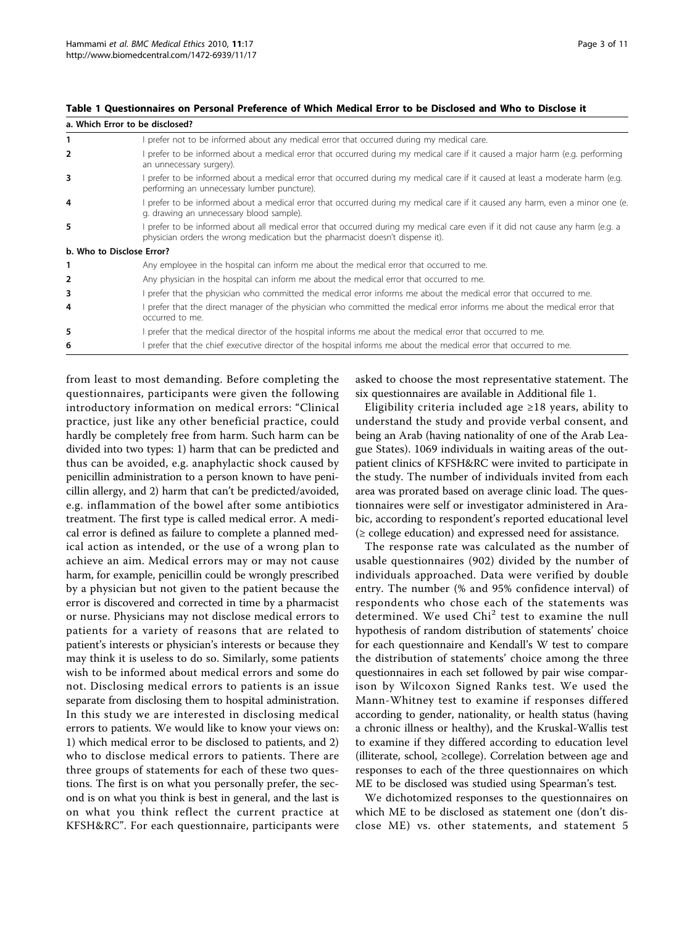| a. Which Error to be disclosed?                                                                                                                                                                                  |
|------------------------------------------------------------------------------------------------------------------------------------------------------------------------------------------------------------------|
| prefer not to be informed about any medical error that occurred during my medical care.                                                                                                                          |
| prefer to be informed about a medical error that occurred during my medical care if it caused a major harm (e.g. performing<br>an unnecessary surgery).                                                          |
| prefer to be informed about a medical error that occurred during my medical care if it caused at least a moderate harm (e.g.<br>performing an unnecessary lumber puncture).                                      |
| prefer to be informed about a medical error that occurred during my medical care if it caused any harm, even a minor one (e.<br>g. drawing an unnecessary blood sample).                                         |
| I prefer to be informed about all medical error that occurred during my medical care even if it did not cause any harm (e.g. a<br>physician orders the wrong medication but the pharmacist doesn't dispense it). |
| b. Who to Disclose Error?                                                                                                                                                                                        |
| Any employee in the hospital can inform me about the medical error that occurred to me.                                                                                                                          |
| Any physician in the hospital can inform me about the medical error that occurred to me.                                                                                                                         |
| I prefer that the physician who committed the medical error informs me about the medical error that occurred to me.                                                                                              |
| prefer that the direct manager of the physician who committed the medical error informs me about the medical error that<br>occurred to me.                                                                       |
| prefer that the medical director of the hospital informs me about the medical error that occurred to me.                                                                                                         |
| prefer that the chief executive director of the hospital informs me about the medical error that occurred to me.                                                                                                 |
|                                                                                                                                                                                                                  |

<span id="page-2-0"></span>Table 1 Questionnaires on Personal Preference of Which Medical Error to be Disclosed and Who to Disclose it

from least to most demanding. Before completing the questionnaires, participants were given the following introductory information on medical errors: "Clinical practice, just like any other beneficial practice, could hardly be completely free from harm. Such harm can be divided into two types: 1) harm that can be predicted and thus can be avoided, e.g. anaphylactic shock caused by penicillin administration to a person known to have penicillin allergy, and 2) harm that can't be predicted/avoided, e.g. inflammation of the bowel after some antibiotics treatment. The first type is called medical error. A medical error is defined as failure to complete a planned medical action as intended, or the use of a wrong plan to achieve an aim. Medical errors may or may not cause harm, for example, penicillin could be wrongly prescribed by a physician but not given to the patient because the error is discovered and corrected in time by a pharmacist or nurse. Physicians may not disclose medical errors to patients for a variety of reasons that are related to patient's interests or physician's interests or because they may think it is useless to do so. Similarly, some patients wish to be informed about medical errors and some do not. Disclosing medical errors to patients is an issue separate from disclosing them to hospital administration. In this study we are interested in disclosing medical errors to patients. We would like to know your views on: 1) which medical error to be disclosed to patients, and 2) who to disclose medical errors to patients. There are three groups of statements for each of these two questions. The first is on what you personally prefer, the second is on what you think is best in general, and the last is on what you think reflect the current practice at KFSH&RC". For each questionnaire, participants were asked to choose the most representative statement. The six questionnaires are available in Additional file [1.](#page-9-0)

Eligibility criteria included age ≥18 years, ability to understand the study and provide verbal consent, and being an Arab (having nationality of one of the Arab League States). 1069 individuals in waiting areas of the outpatient clinics of KFSH&RC were invited to participate in the study. The number of individuals invited from each area was prorated based on average clinic load. The questionnaires were self or investigator administered in Arabic, according to respondent's reported educational level  $\geq$  college education) and expressed need for assistance.

The response rate was calculated as the number of usable questionnaires (902) divided by the number of individuals approached. Data were verified by double entry. The number (% and 95% confidence interval) of respondents who chose each of the statements was determined. We used Chi<sup>2</sup> test to examine the null hypothesis of random distribution of statements' choice for each questionnaire and Kendall's W test to compare the distribution of statements' choice among the three questionnaires in each set followed by pair wise comparison by Wilcoxon Signed Ranks test. We used the Mann-Whitney test to examine if responses differed according to gender, nationality, or health status (having a chronic illness or healthy), and the Kruskal-Wallis test to examine if they differed according to education level (illiterate, school, ≥college). Correlation between age and responses to each of the three questionnaires on which ME to be disclosed was studied using Spearman's test.

We dichotomized responses to the questionnaires on which ME to be disclosed as statement one (don't disclose ME) vs. other statements, and statement 5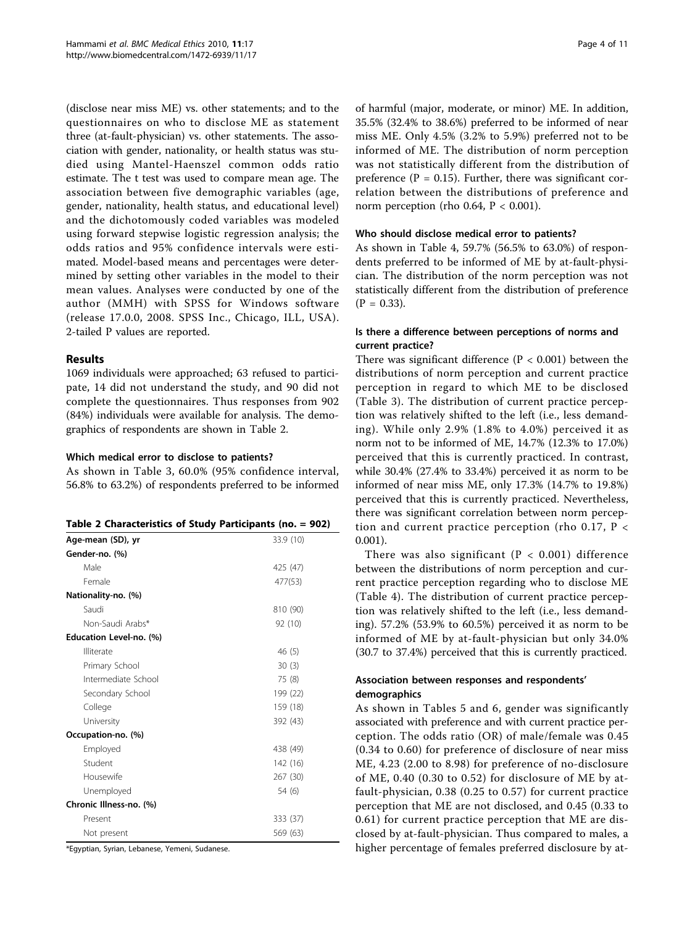(disclose near miss ME) vs. other statements; and to the questionnaires on who to disclose ME as statement three (at-fault-physician) vs. other statements. The association with gender, nationality, or health status was studied using Mantel-Haenszel common odds ratio estimate. The t test was used to compare mean age. The association between five demographic variables (age, gender, nationality, health status, and educational level) and the dichotomously coded variables was modeled using forward stepwise logistic regression analysis; the odds ratios and 95% confidence intervals were estimated. Model-based means and percentages were determined by setting other variables in the model to their mean values. Analyses were conducted by one of the author (MMH) with SPSS for Windows software (release 17.0.0, 2008. SPSS Inc., Chicago, ILL, USA). 2-tailed P values are reported.

## Results

1069 individuals were approached; 63 refused to participate, 14 did not understand the study, and 90 did not complete the questionnaires. Thus responses from 902 (84%) individuals were available for analysis. The demographics of respondents are shown in Table 2.

## Which medical error to disclose to patients?

As shown in Table [3](#page-4-0), 60.0% (95% confidence interval, 56.8% to 63.2%) of respondents preferred to be informed

|  | Table 2 Characteristics of Study Participants (no. = 902) |  |  |  |
|--|-----------------------------------------------------------|--|--|--|
|--|-----------------------------------------------------------|--|--|--|

| Age-mean (SD), yr       | 33.9 (10) |
|-------------------------|-----------|
| Gender-no. (%)          |           |
| Male                    | 425 (47)  |
| Female                  | 477(53)   |
| Nationality-no. (%)     |           |
| Saudi                   | 810 (90)  |
| Non-Saudi Arabs*        | 92 (10)   |
| Education Level-no. (%) |           |
| Illiterate              | 46 (5)    |
| Primary School          | 30(3)     |
| Intermediate School     | 75 (8)    |
| Secondary School        | 199 (22)  |
| College                 | 159 (18)  |
| University              | 392 (43)  |
| Occupation-no. (%)      |           |
| Employed                | 438 (49)  |
| Student                 | 142 (16)  |
| Housewife               | 267 (30)  |
| Unemployed              | 54 (6)    |
| Chronic Illness-no. (%) |           |
| Present                 | 333 (37)  |
| Not present             | 569 (63)  |

\*Egyptian, Syrian, Lebanese, Yemeni, Sudanese.

of harmful (major, moderate, or minor) ME. In addition, 35.5% (32.4% to 38.6%) preferred to be informed of near miss ME. Only 4.5% (3.2% to 5.9%) preferred not to be informed of ME. The distribution of norm perception was not statistically different from the distribution of preference ( $P = 0.15$ ). Further, there was significant correlation between the distributions of preference and norm perception (rho 0.64,  $P < 0.001$ ).

#### Who should disclose medical error to patients?

As shown in Table [4](#page-4-0), 59.7% (56.5% to 63.0%) of respondents preferred to be informed of ME by at-fault-physician. The distribution of the norm perception was not statistically different from the distribution of preference  $(P = 0.33)$ .

## Is there a difference between perceptions of norms and current practice?

There was significant difference ( $P < 0.001$ ) between the distributions of norm perception and current practice perception in regard to which ME to be disclosed (Table [3](#page-4-0)). The distribution of current practice perception was relatively shifted to the left (i.e., less demanding). While only 2.9% (1.8% to 4.0%) perceived it as norm not to be informed of ME, 14.7% (12.3% to 17.0%) perceived that this is currently practiced. In contrast, while 30.4% (27.4% to 33.4%) perceived it as norm to be informed of near miss ME, only 17.3% (14.7% to 19.8%) perceived that this is currently practiced. Nevertheless, there was significant correlation between norm perception and current practice perception (rho 0.17,  $P \lt \theta$ 0.001).

There was also significant ( $P < 0.001$ ) difference between the distributions of norm perception and current practice perception regarding who to disclose ME (Table [4](#page-4-0)). The distribution of current practice perception was relatively shifted to the left (i.e., less demanding). 57.2% (53.9% to 60.5%) perceived it as norm to be informed of ME by at-fault-physician but only 34.0% (30.7 to 37.4%) perceived that this is currently practiced.

#### Association between responses and respondents' demographics

As shown in Tables [5](#page-5-0) and [6,](#page-6-0) gender was significantly associated with preference and with current practice perception. The odds ratio (OR) of male/female was 0.45 (0.34 to 0.60) for preference of disclosure of near miss ME, 4.23 (2.00 to 8.98) for preference of no-disclosure of ME, 0.40 (0.30 to 0.52) for disclosure of ME by atfault-physician, 0.38 (0.25 to 0.57) for current practice perception that ME are not disclosed, and 0.45 (0.33 to 0.61) for current practice perception that ME are disclosed by at-fault-physician. Thus compared to males, a higher percentage of females preferred disclosure by at-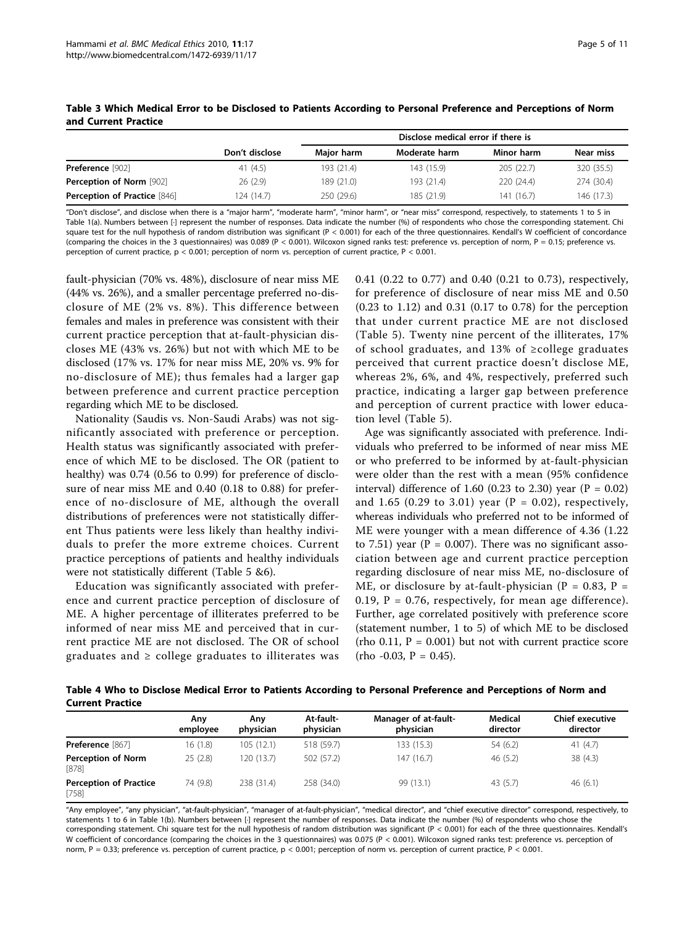|                                     |                | Disclose medical error if there is |               |            |            |  |  |  |
|-------------------------------------|----------------|------------------------------------|---------------|------------|------------|--|--|--|
|                                     | Don't disclose | Major harm                         | Moderate harm | Minor harm | Near miss  |  |  |  |
| <b>Preference</b> [902]             | 41 (4.5)       | 193 (21.4)                         | 143 (15.9)    | 205(22.7)  | 320 (35.5) |  |  |  |
| <b>Perception of Norm [902]</b>     | 26(2.9)        | 189 (21.0)                         | 193 (21.4)    | 220 (24.4) | 274 (30.4) |  |  |  |
| <b>Perception of Practice [846]</b> | 124 (14.7)     | 250 (29.6)                         | 185 (21.9)    | 141 (16.7) | 146 (17.3) |  |  |  |

#### <span id="page-4-0"></span>Table 3 Which Medical Error to be Disclosed to Patients According to Personal Preference and Perceptions of Norm and Current Practice

"Don't disclose", and disclose when there is a "major harm", "moderate harm", "minor harm", or "near miss" correspond, respectively, to statements 1 to 5 in Table 1(a). Numbers between [·] represent the number of responses. Data indicate the number (%) of respondents who chose the corresponding statement. Chi square test for the null hypothesis of random distribution was significant (P < 0.001) for each of the three questionnaires. Kendall's W coefficient of concordance (comparing the choices in the 3 questionnaires) was 0.089 (P < 0.001). Wilcoxon signed ranks test: preference vs. perception of norm, P = 0.15; preference vs. perception of current practice, p < 0.001; perception of norm vs. perception of current practice, P < 0.001.

fault-physician (70% vs. 48%), disclosure of near miss ME (44% vs. 26%), and a smaller percentage preferred no-disclosure of ME (2% vs. 8%). This difference between females and males in preference was consistent with their current practice perception that at-fault-physician discloses ME (43% vs. 26%) but not with which ME to be disclosed (17% vs. 17% for near miss ME, 20% vs. 9% for no-disclosure of ME); thus females had a larger gap between preference and current practice perception regarding which ME to be disclosed.

Nationality (Saudis vs. Non-Saudi Arabs) was not significantly associated with preference or perception. Health status was significantly associated with preference of which ME to be disclosed. The OR (patient to healthy) was 0.74 (0.56 to 0.99) for preference of disclosure of near miss ME and 0.40 (0.18 to 0.88) for preference of no-disclosure of ME, although the overall distributions of preferences were not statistically different Thus patients were less likely than healthy individuals to prefer the more extreme choices. Current practice perceptions of patients and healthy individuals were not statistically different (Table [5](#page-5-0) [&6\)](#page-6-0).

Education was significantly associated with preference and current practice perception of disclosure of ME. A higher percentage of illiterates preferred to be informed of near miss ME and perceived that in current practice ME are not disclosed. The OR of school graduates and  $\geq$  college graduates to illiterates was

0.41 (0.22 to 0.77) and 0.40 (0.21 to 0.73), respectively, for preference of disclosure of near miss ME and 0.50 (0.23 to 1.12) and 0.31 (0.17 to 0.78) for the perception that under current practice ME are not disclosed (Table [5](#page-5-0)). Twenty nine percent of the illiterates, 17% of school graduates, and 13% of ≥college graduates perceived that current practice doesn't disclose ME, whereas 2%, 6%, and 4%, respectively, preferred such practice, indicating a larger gap between preference and perception of current practice with lower education level (Table [5\)](#page-5-0).

Age was significantly associated with preference. Individuals who preferred to be informed of near miss ME or who preferred to be informed by at-fault-physician were older than the rest with a mean (95% confidence interval) difference of 1.60 (0.23 to 2.30) year  $(P = 0.02)$ and 1.65 (0.29 to 3.01) year ( $P = 0.02$ ), respectively, whereas individuals who preferred not to be informed of ME were younger with a mean difference of 4.36 (1.22 to 7.51) year ( $P = 0.007$ ). There was no significant association between age and current practice perception regarding disclosure of near miss ME, no-disclosure of ME, or disclosure by at-fault-physician ( $P = 0.83$ ,  $P =$ 0.19,  $P = 0.76$ , respectively, for mean age difference). Further, age correlated positively with preference score (statement number, 1 to 5) of which ME to be disclosed (rho  $0.11$ ,  $P = 0.001$ ) but not with current practice score  $(rho -0.03, P = 0.45).$ 

Table 4 Who to Disclose Medical Error to Patients According to Personal Preference and Perceptions of Norm and Current Practice

|                                          | Any<br>employee | Anv<br>physician | At-fault-<br>physician | Manager of at-fault-<br>physician | Medical<br>director | <b>Chief executive</b><br>director |
|------------------------------------------|-----------------|------------------|------------------------|-----------------------------------|---------------------|------------------------------------|
| Preference [867]                         | 16 (1.8)        | 105(12.1)        | 518 (59.7)             | 133 (15.3)                        | 54 (6.2)            | 41(4.7)                            |
| <b>Perception of Norm</b><br>[878]       | 25(2.8)         | 120(13.7)        | 502 (57.2)             | 147 (16.7)                        | 46(5.2)             | 38(4.3)                            |
| <b>Perception of Practice</b><br>$[758]$ | 74 (9.8)        | 238 (31.4)       | 258 (34.0)             | 99 (13.1)                         | 43 (5.7)            | 46(6.1)                            |

"Any employee", "any physician", "at-fault-physician", "manager of at-fault-physician", "medical director", and "chief executive director" correspond, respectively, to statements 1 to 6 in Table 1(b). Numbers between [·] represent the number of responses. Data indicate the number (%) of respondents who chose the corresponding statement. Chi square test for the null hypothesis of random distribution was significant (P < 0.001) for each of the three questionnaires. Kendall's W coefficient of concordance (comparing the choices in the 3 questionnaires) was 0.075 (P < 0.001). Wilcoxon signed ranks test: preference vs. perception of norm, P = 0.33; preference vs. perception of current practice, p < 0.001; perception of norm vs. perception of current practice, P < 0.001.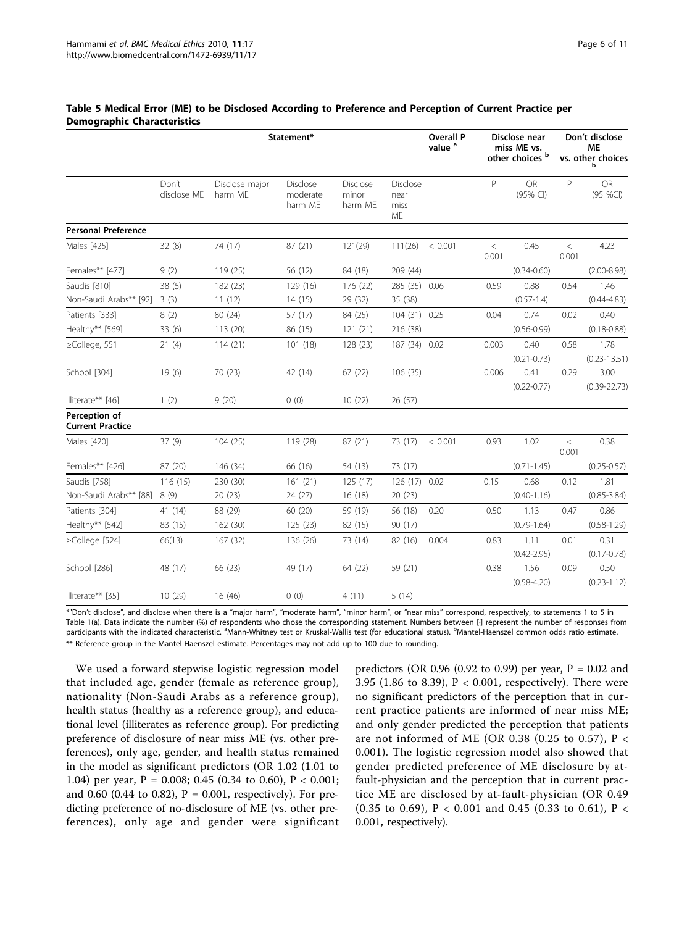|                                          |                      | Statement*                |                                        |                                     |                                       | <b>Overall P</b><br>value <sup>a</sup> | Disclose near<br>miss ME vs.<br>other choices <sup>b</sup> |                         | Don't disclose<br>ΜE<br>vs. other choices |                          |
|------------------------------------------|----------------------|---------------------------|----------------------------------------|-------------------------------------|---------------------------------------|----------------------------------------|------------------------------------------------------------|-------------------------|-------------------------------------------|--------------------------|
|                                          | Don't<br>disclose ME | Disclose major<br>harm ME | <b>Disclose</b><br>moderate<br>harm ME | <b>Disclose</b><br>minor<br>harm ME | <b>Disclose</b><br>near<br>miss<br>ME |                                        | P                                                          | <b>OR</b><br>(95% CI)   | P                                         | <b>OR</b><br>(95 %CI)    |
| <b>Personal Preference</b>               |                      |                           |                                        |                                     |                                       |                                        |                                                            |                         |                                           |                          |
| Males [425]                              | 32(8)                | 74 (17)                   | 87 (21)                                | 121(29)                             | 111(26)                               | < 0.001                                | $\,<$<br>0.001                                             | 0.45                    | $\,<$<br>0.001                            | 4.23                     |
| Females** [477]                          | 9(2)                 | 119 (25)                  | 56 (12)                                | 84 (18)                             | 209 (44)                              |                                        |                                                            | $(0.34 - 0.60)$         |                                           | $(2.00 - 8.98)$          |
| Saudis [810]                             | 38(5)                | 182 (23)                  | 129 (16)                               | 176 (22)                            | 285 (35) 0.06                         |                                        | 0.59                                                       | 0.88                    | 0.54                                      | 1.46                     |
| Non-Saudi Arabs** [92]                   | 3(3)                 | 11(12)                    | 14(15)                                 | 29 (32)                             | 35 (38)                               |                                        |                                                            | $(0.57 - 1.4)$          |                                           | $(0.44 - 4.83)$          |
| Patients [333]                           | 8(2)                 | 80 (24)                   | 57 (17)                                | 84 (25)                             | 104 (31) 0.25                         |                                        | 0.04                                                       | 0.74                    | 0.02                                      | 0.40                     |
| Healthy** [569]                          | 33(6)                | 113 (20)                  | 86 (15)                                | 121 (21)                            | 216 (38)                              |                                        |                                                            | $(0.56 - 0.99)$         |                                           | $(0.18 - 0.88)$          |
| ≥College, 551                            | 21(4)                | 114(21)                   | 101(18)                                | 128 (23)                            | 187 (34) 0.02                         |                                        | 0.003                                                      | 0.40<br>$(0.21 - 0.73)$ | 0.58                                      | 1.78<br>$(0.23 - 13.51)$ |
| School [304]                             | 19(6)                | 70 (23)                   | 42 (14)                                | 67 (22)                             | 106 (35)                              |                                        | 0.006                                                      | 0.41<br>$(0.22 - 0.77)$ | 0.29                                      | 3.00<br>$(0.39 - 22.73)$ |
| Illiterate** [46]                        | 1(2)                 | 9(20)                     | 0(0)                                   | 10(22)                              | 26(57)                                |                                        |                                                            |                         |                                           |                          |
| Perception of<br><b>Current Practice</b> |                      |                           |                                        |                                     |                                       |                                        |                                                            |                         |                                           |                          |
| Males [420]                              | 37(9)                | 104(25)                   | 119 (28)                               | 87(21)                              | 73 (17)                               | < 0.001                                | 0.93                                                       | 1.02                    | $\,<$<br>0.001                            | 0.38                     |
| Females** [426]                          | 87 (20)              | 146 (34)                  | 66 (16)                                | 54 (13)                             | 73 (17)                               |                                        |                                                            | $(0.71 - 1.45)$         |                                           | $(0.25 - 0.57)$          |
| Saudis [758]                             | 116(15)              | 230 (30)                  | 161(21)                                | 125(17)                             | 126(17)                               | 0.02                                   | 0.15                                                       | 0.68                    | 0.12                                      | 1.81                     |
| Non-Saudi Arabs** [88]                   | 8(9)                 | 20(23)                    | 24 (27)                                | 16(18)                              | 20(23)                                |                                        |                                                            | $(0.40 - 1.16)$         |                                           | $(0.85 - 3.84)$          |
| Patients [304]                           | 41 (14)              | 88 (29)                   | 60 (20)                                | 59 (19)                             | 56 (18)                               | 0.20                                   | 0.50                                                       | 1.13                    | 0.47                                      | 0.86                     |
| Healthy** [542]                          | 83 (15)              | 162 (30)                  | 125(23)                                | 82 (15)                             | 90 (17)                               |                                        |                                                            | $(0.79 - 1.64)$         |                                           | $(0.58 - 1.29)$          |
| $\ge$ College [524]                      | 66(13)               | 167(32)                   | 136 (26)                               | 73 (14)                             | 82 (16)                               | 0.004                                  | 0.83                                                       | 1.11                    | 0.01                                      | 0.31                     |
|                                          |                      |                           |                                        |                                     |                                       |                                        |                                                            | $(0.42 - 2.95)$         |                                           | $(0.17 - 0.78)$          |
| School [286]                             | 48 (17)              | 66 (23)                   | 49 (17)                                | 64 (22)                             | 59 (21)                               |                                        | 0.38                                                       | 1.56                    | 0.09                                      | 0.50                     |
| Illiterate** [35]                        | 10(29)               | 16 (46)                   | 0(0)                                   | 4(11)                               | 5(14)                                 |                                        |                                                            | $(0.58 - 4.20)$         |                                           | $(0.23 - 1.12)$          |

#### <span id="page-5-0"></span>Table 5 Medical Error (ME) to be Disclosed According to Preference and Perception of Current Practice per Demographic Characteristics

\*"Don't disclose", and disclose when there is a "major harm", "moderate harm", "minor harm", or "near miss" correspond, respectively, to statements 1 to 5 in Table 1(a). Data indicate the number (%) of respondents who chose the corresponding statement. Numbers between [·] represent the number of responses from participants with the indicated characteristic. <sup>a</sup>Mann-Whitney test or Kruskal-Wallis test (for educational status). <sup>b</sup>Mantel-Haenszel common odds ratio estimate. \*\* Reference group in the Mantel-Haenszel estimate. Percentages may not add up to 100 due to rounding.

We used a forward stepwise logistic regression model that included age, gender (female as reference group), nationality (Non-Saudi Arabs as a reference group), health status (healthy as a reference group), and educational level (illiterates as reference group). For predicting preference of disclosure of near miss ME (vs. other preferences), only age, gender, and health status remained in the model as significant predictors (OR 1.02 (1.01 to 1.04) per year,  $P = 0.008$ ; 0.45 (0.34 to 0.60),  $P < 0.001$ ; and 0.60 (0.44 to 0.82),  $P = 0.001$ , respectively). For predicting preference of no-disclosure of ME (vs. other preferences), only age and gender were significant

predictors (OR 0.96 (0.92 to 0.99) per year,  $P = 0.02$  and 3.95 (1.86 to 8.39), P < 0.001, respectively). There were no significant predictors of the perception that in current practice patients are informed of near miss ME; and only gender predicted the perception that patients are not informed of ME (OR 0.38 (0.25 to 0.57), P < 0.001). The logistic regression model also showed that gender predicted preference of ME disclosure by atfault-physician and the perception that in current practice ME are disclosed by at-fault-physician (OR 0.49 (0.35 to 0.69), P < 0.001 and 0.45 (0.33 to 0.61), P < 0.001, respectively).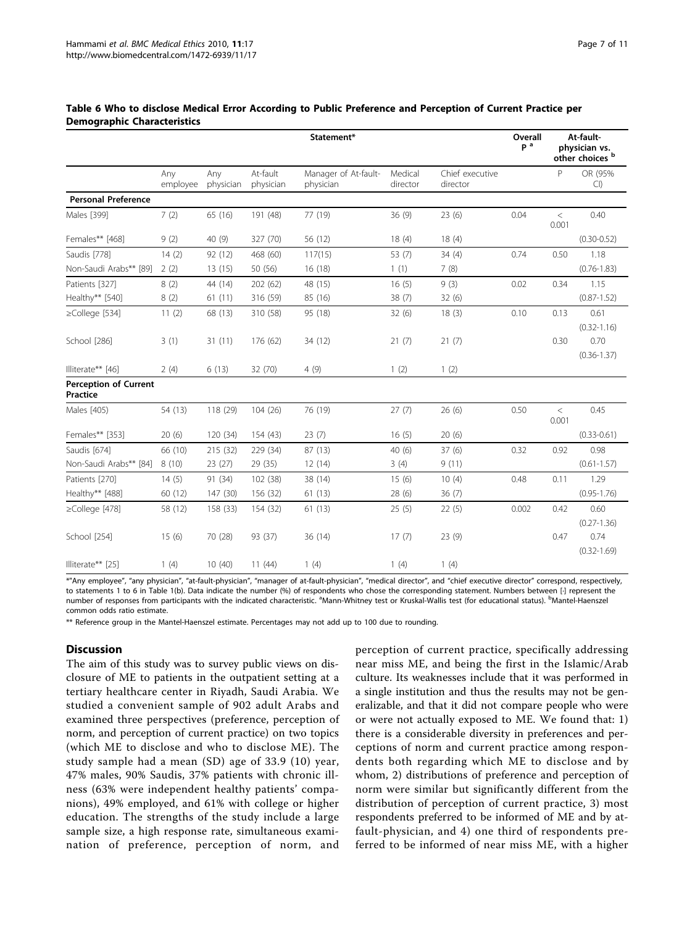|                                                 |                 |                  |                       | Statement*                        |                     |                             | Overall<br>p <sup>a</sup> |                | At-fault-<br>physician vs.<br>other choices b |
|-------------------------------------------------|-----------------|------------------|-----------------------|-----------------------------------|---------------------|-----------------------------|---------------------------|----------------|-----------------------------------------------|
|                                                 | Any<br>employee | Any<br>physician | At-fault<br>physician | Manager of At-fault-<br>physician | Medical<br>director | Chief executive<br>director |                           | P              | OR (95%<br>Cl                                 |
| <b>Personal Preference</b>                      |                 |                  |                       |                                   |                     |                             |                           |                |                                               |
| Males [399]                                     | 7(2)            | 65 (16)          | 191 (48)              | 77 (19)                           | 36(9)               | 23(6)                       | 0.04                      | $\,<$<br>0.001 | 0.40                                          |
| Females** [468]                                 | 9(2)            | 40 (9)           | 327 (70)              | 56 (12)                           | 18(4)               | 18(4)                       |                           |                | $(0.30 - 0.52)$                               |
| Saudis [778]                                    | 14(2)           | 92 (12)          | 468 (60)              | 117(15)                           | 53 (7)              | 34(4)                       | 0.74                      | 0.50           | 1.18                                          |
| Non-Saudi Arabs** [89]                          | 2(2)            | 13(15)           | 50 (56)               | 16 (18)                           | 1(1)                | 7(8)                        |                           |                | $(0.76 - 1.83)$                               |
| Patients [327]                                  | 8(2)            | 44 (14)          | 202 (62)              | 48 (15)                           | 16(5)               | 9(3)                        | 0.02                      | 0.34           | 1.15                                          |
| Healthy** [540]                                 | 8(2)            | 61(11)           | 316 (59)              | 85 (16)                           | 38(7)               | 32(6)                       |                           |                | $(0.87 - 1.52)$                               |
| ≥College [534]                                  | 11(2)           | 68 (13)          | 310 (58)              | 95 (18)                           | 32(6)               | 18(3)                       | 0.10                      | 0.13           | 0.61<br>$(0.32 - 1.16)$                       |
| School [286]                                    | 3(1)            | 31(11)           | 176 (62)              | 34 (12)                           | 21(7)               | 21(7)                       |                           | 0.30           | 0.70<br>$(0.36 - 1.37)$                       |
| Illiterate** [46]                               | 2(4)            | 6(13)            | 32 (70)               | 4(9)                              | 1(2)                | 1(2)                        |                           |                |                                               |
| <b>Perception of Current</b><br><b>Practice</b> |                 |                  |                       |                                   |                     |                             |                           |                |                                               |
| Males [405)                                     | 54 (13)         | 118 (29)         | 104(26)               | 76 (19)                           | 27(7)               | 26(6)                       | 0.50                      | $\,<$<br>0.001 | 0.45                                          |
| Females** [353]                                 | 20(6)           | 120 (34)         | 154 (43)              | 23(7)                             | 16(5)               | 20(6)                       |                           |                | $(0.33 - 0.61)$                               |
| Saudis [674]                                    | 66 (10)         | 215 (32)         | 229 (34)              | 87 (13)                           | 40 (6)              | 37(6)                       | 0.32                      | 0.92           | 0.98                                          |
| Non-Saudi Arabs** [84]                          | 8(10)           | 23 (27)          | 29 (35)               | 12(14)                            | 3(4)                | 9(11)                       |                           |                | $(0.61 - 1.57)$                               |
| Patients [270]                                  | 14(5)           | 91 (34)          | 102 (38)              | 38 (14)                           | 15 (6)              | 10(4)                       | 0.48                      | 0.11           | 1.29                                          |
| Healthy** [488]                                 | 60 (12)         | 147 (30)         | 156 (32)              | 61(13)                            | 28(6)               | 36(7)                       |                           |                | $(0.95 - 1.76)$                               |
| ≥College [478]                                  | 58 (12)         | 158 (33)         | 154 (32)              | 61(13)                            | 25(5)               | 22(5)                       | 0.002                     | 0.42           | 0.60<br>$(0.27 - 1.36)$                       |
| School [254]                                    | 15(6)           | 70 (28)          | 93 (37)               | 36 (14)                           | 17(7)               | 23(9)                       |                           | 0.47           | 0.74<br>$(0.32 - 1.69)$                       |
| Illiterate** [25]                               | 1(4)            | 10(40)           | 11(44)                | 1(4)                              | 1(4)                | 1(4)                        |                           |                |                                               |

#### <span id="page-6-0"></span>Table 6 Who to disclose Medical Error According to Public Preference and Perception of Current Practice per Demographic Characteristics

\*"Any employee", "any physician", "at-fault-physician", "manager of at-fault-physician", "medical director", and "chief executive director" correspond, respectively, to statements 1 to 6 in Table 1(b). Data indicate the number (%) of respondents who chose the corresponding statement. Numbers between [·] represent the number of responses from participants with the indicated characteristic. <sup>a</sup>Mann-Whitney test or Kruskal-Wallis test (for educational status). <sup>b</sup>Mantel-Haenszel common odds ratio estimate.

\*\* Reference group in the Mantel-Haenszel estimate. Percentages may not add up to 100 due to rounding.

## **Discussion**

The aim of this study was to survey public views on disclosure of ME to patients in the outpatient setting at a tertiary healthcare center in Riyadh, Saudi Arabia. We studied a convenient sample of 902 adult Arabs and examined three perspectives (preference, perception of norm, and perception of current practice) on two topics (which ME to disclose and who to disclose ME). The study sample had a mean (SD) age of 33.9 (10) year, 47% males, 90% Saudis, 37% patients with chronic illness (63% were independent healthy patients' companions), 49% employed, and 61% with college or higher education. The strengths of the study include a large sample size, a high response rate, simultaneous examination of preference, perception of norm, and

perception of current practice, specifically addressing near miss ME, and being the first in the Islamic/Arab culture. Its weaknesses include that it was performed in a single institution and thus the results may not be generalizable, and that it did not compare people who were or were not actually exposed to ME. We found that: 1) there is a considerable diversity in preferences and perceptions of norm and current practice among respondents both regarding which ME to disclose and by whom, 2) distributions of preference and perception of norm were similar but significantly different from the distribution of perception of current practice, 3) most respondents preferred to be informed of ME and by atfault-physician, and 4) one third of respondents preferred to be informed of near miss ME, with a higher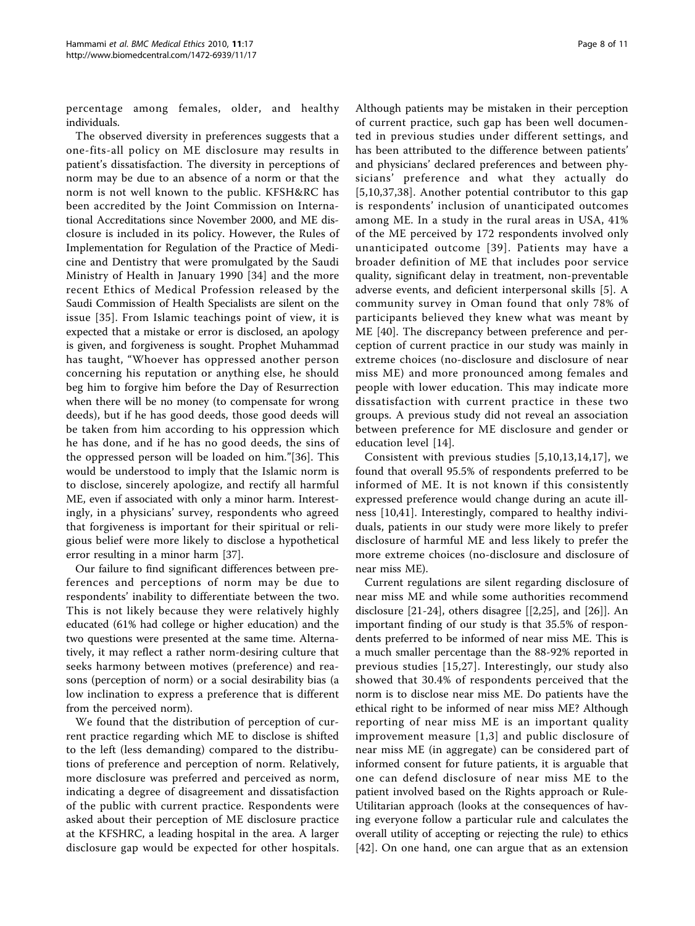percentage among females, older, and healthy individuals.

The observed diversity in preferences suggests that a one-fits-all policy on ME disclosure may results in patient's dissatisfaction. The diversity in perceptions of norm may be due to an absence of a norm or that the norm is not well known to the public. KFSH&RC has been accredited by the Joint Commission on International Accreditations since November 2000, and ME disclosure is included in its policy. However, the Rules of Implementation for Regulation of the Practice of Medicine and Dentistry that were promulgated by the Saudi Ministry of Health in January 1990 [\[34\]](#page-10-0) and the more recent Ethics of Medical Profession released by the Saudi Commission of Health Specialists are silent on the issue [[35](#page-10-0)]. From Islamic teachings point of view, it is expected that a mistake or error is disclosed, an apology is given, and forgiveness is sought. Prophet Muhammad has taught, "Whoever has oppressed another person concerning his reputation or anything else, he should beg him to forgive him before the Day of Resurrection when there will be no money (to compensate for wrong deeds), but if he has good deeds, those good deeds will be taken from him according to his oppression which he has done, and if he has no good deeds, the sins of the oppressed person will be loaded on him."[[36](#page-10-0)]. This would be understood to imply that the Islamic norm is to disclose, sincerely apologize, and rectify all harmful ME, even if associated with only a minor harm. Interestingly, in a physicians' survey, respondents who agreed that forgiveness is important for their spiritual or religious belief were more likely to disclose a hypothetical error resulting in a minor harm [[37\]](#page-10-0).

Our failure to find significant differences between preferences and perceptions of norm may be due to respondents' inability to differentiate between the two. This is not likely because they were relatively highly educated (61% had college or higher education) and the two questions were presented at the same time. Alternatively, it may reflect a rather norm-desiring culture that seeks harmony between motives (preference) and reasons (perception of norm) or a social desirability bias (a low inclination to express a preference that is different from the perceived norm).

We found that the distribution of perception of current practice regarding which ME to disclose is shifted to the left (less demanding) compared to the distributions of preference and perception of norm. Relatively, more disclosure was preferred and perceived as norm, indicating a degree of disagreement and dissatisfaction of the public with current practice. Respondents were asked about their perception of ME disclosure practice at the KFSHRC, a leading hospital in the area. A larger disclosure gap would be expected for other hospitals.

Although patients may be mistaken in their perception of current practice, such gap has been well documented in previous studies under different settings, and has been attributed to the difference between patients' and physicians' declared preferences and between physicians' preference and what they actually do [[5](#page-9-0),[10,](#page-9-0)[37](#page-10-0),[38\]](#page-10-0). Another potential contributor to this gap is respondents' inclusion of unanticipated outcomes among ME. In a study in the rural areas in USA, 41% of the ME perceived by 172 respondents involved only unanticipated outcome [[39\]](#page-10-0). Patients may have a broader definition of ME that includes poor service quality, significant delay in treatment, non-preventable adverse events, and deficient interpersonal skills [\[5\]](#page-9-0). A community survey in Oman found that only 78% of participants believed they knew what was meant by ME [\[40](#page-10-0)]. The discrepancy between preference and perception of current practice in our study was mainly in extreme choices (no-disclosure and disclosure of near miss ME) and more pronounced among females and people with lower education. This may indicate more dissatisfaction with current practice in these two groups. A previous study did not reveal an association between preference for ME disclosure and gender or education level [\[14](#page-9-0)].

Consistent with previous studies [[5,10,13](#page-9-0),[14,17\]](#page-9-0), we found that overall 95.5% of respondents preferred to be informed of ME. It is not known if this consistently expressed preference would change during an acute illness [\[10,](#page-9-0)[41](#page-10-0)]. Interestingly, compared to healthy individuals, patients in our study were more likely to prefer disclosure of harmful ME and less likely to prefer the more extreme choices (no-disclosure and disclosure of near miss ME).

Current regulations are silent regarding disclosure of near miss ME and while some authorities recommend disclosure [\[21](#page-9-0)-[24\]](#page-9-0), others disagree [[[2,25\]](#page-9-0), and [\[26](#page-10-0)]]. An important finding of our study is that 35.5% of respondents preferred to be informed of near miss ME. This is a much smaller percentage than the 88-92% reported in previous studies [[15](#page-9-0)[,27\]](#page-10-0). Interestingly, our study also showed that 30.4% of respondents perceived that the norm is to disclose near miss ME. Do patients have the ethical right to be informed of near miss ME? Although reporting of near miss ME is an important quality improvement measure [[1](#page-9-0),[3](#page-9-0)] and public disclosure of near miss ME (in aggregate) can be considered part of informed consent for future patients, it is arguable that one can defend disclosure of near miss ME to the patient involved based on the Rights approach or Rule-Utilitarian approach (looks at the consequences of having everyone follow a particular rule and calculates the overall utility of accepting or rejecting the rule) to ethics [[42](#page-10-0)]. On one hand, one can argue that as an extension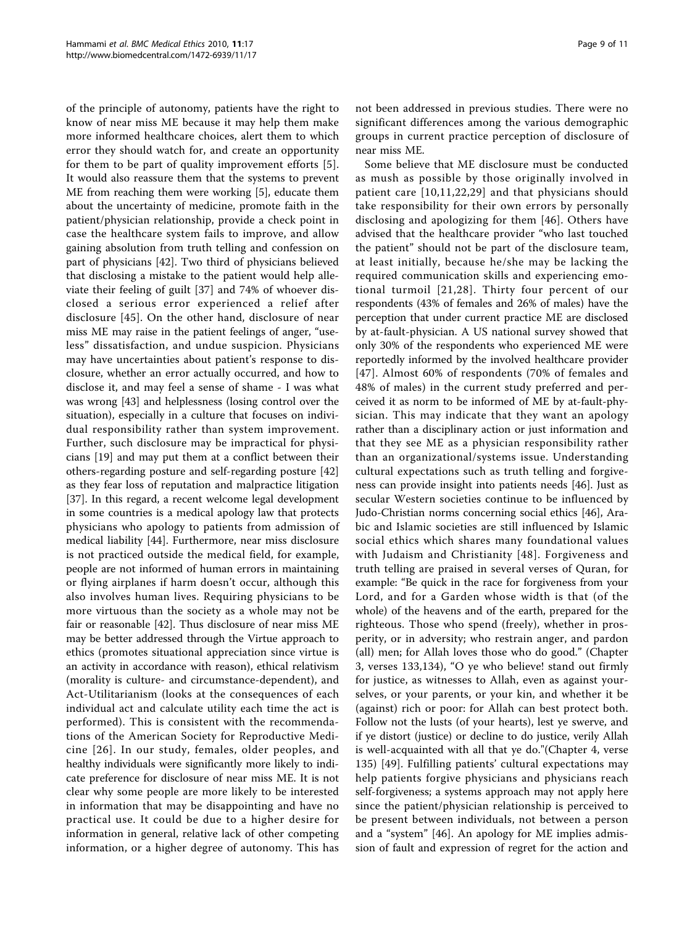of the principle of autonomy, patients have the right to know of near miss ME because it may help them make more informed healthcare choices, alert them to which error they should watch for, and create an opportunity for them to be part of quality improvement efforts [[5](#page-9-0)]. It would also reassure them that the systems to prevent ME from reaching them were working [[5\]](#page-9-0), educate them about the uncertainty of medicine, promote faith in the patient/physician relationship, provide a check point in case the healthcare system fails to improve, and allow gaining absolution from truth telling and confession on part of physicians [[42](#page-10-0)]. Two third of physicians believed that disclosing a mistake to the patient would help alleviate their feeling of guilt [\[37](#page-10-0)] and 74% of whoever disclosed a serious error experienced a relief after disclosure [[45\]](#page-10-0). On the other hand, disclosure of near miss ME may raise in the patient feelings of anger, "useless" dissatisfaction, and undue suspicion. Physicians may have uncertainties about patient's response to disclosure, whether an error actually occurred, and how to disclose it, and may feel a sense of shame - I was what was wrong [[43\]](#page-10-0) and helplessness (losing control over the situation), especially in a culture that focuses on individual responsibility rather than system improvement. Further, such disclosure may be impractical for physicians [[19\]](#page-9-0) and may put them at a conflict between their others-regarding posture and self-regarding posture [[42](#page-10-0)] as they fear loss of reputation and malpractice litigation [[37\]](#page-10-0). In this regard, a recent welcome legal development in some countries is a medical apology law that protects physicians who apology to patients from admission of medical liability [\[44](#page-10-0)]. Furthermore, near miss disclosure is not practiced outside the medical field, for example, people are not informed of human errors in maintaining or flying airplanes if harm doesn't occur, although this also involves human lives. Requiring physicians to be more virtuous than the society as a whole may not be fair or reasonable [\[42](#page-10-0)]. Thus disclosure of near miss ME may be better addressed through the Virtue approach to ethics (promotes situational appreciation since virtue is an activity in accordance with reason), ethical relativism (morality is culture- and circumstance-dependent), and Act-Utilitarianism (looks at the consequences of each individual act and calculate utility each time the act is performed). This is consistent with the recommendations of the American Society for Reproductive Medicine [[26](#page-10-0)]. In our study, females, older peoples, and healthy individuals were significantly more likely to indicate preference for disclosure of near miss ME. It is not clear why some people are more likely to be interested in information that may be disappointing and have no practical use. It could be due to a higher desire for information in general, relative lack of other competing information, or a higher degree of autonomy. This has

not been addressed in previous studies. There were no significant differences among the various demographic groups in current practice perception of disclosure of near miss ME.

Some believe that ME disclosure must be conducted as mush as possible by those originally involved in patient care [[10,11,22](#page-9-0),[29](#page-10-0)] and that physicians should take responsibility for their own errors by personally disclosing and apologizing for them [[46](#page-10-0)]. Others have advised that the healthcare provider "who last touched the patient" should not be part of the disclosure team, at least initially, because he/she may be lacking the required communication skills and experiencing emotional turmoil [[21,](#page-9-0)[28](#page-10-0)]. Thirty four percent of our respondents (43% of females and 26% of males) have the perception that under current practice ME are disclosed by at-fault-physician. A US national survey showed that only 30% of the respondents who experienced ME were reportedly informed by the involved healthcare provider [[47](#page-10-0)]. Almost 60% of respondents (70% of females and 48% of males) in the current study preferred and perceived it as norm to be informed of ME by at-fault-physician. This may indicate that they want an apology rather than a disciplinary action or just information and that they see ME as a physician responsibility rather than an organizational/systems issue. Understanding cultural expectations such as truth telling and forgiveness can provide insight into patients needs [\[46\]](#page-10-0). Just as secular Western societies continue to be influenced by Judo-Christian norms concerning social ethics [[46](#page-10-0)], Arabic and Islamic societies are still influenced by Islamic social ethics which shares many foundational values with Judaism and Christianity [[48](#page-10-0)]. Forgiveness and truth telling are praised in several verses of Quran, for example: "Be quick in the race for forgiveness from your Lord, and for a Garden whose width is that (of the whole) of the heavens and of the earth, prepared for the righteous. Those who spend (freely), whether in prosperity, or in adversity; who restrain anger, and pardon (all) men; for Allah loves those who do good." (Chapter 3, verses 133,134), "O ye who believe! stand out firmly for justice, as witnesses to Allah, even as against yourselves, or your parents, or your kin, and whether it be (against) rich or poor: for Allah can best protect both. Follow not the lusts (of your hearts), lest ye swerve, and if ye distort (justice) or decline to do justice, verily Allah is well-acquainted with all that ye do."(Chapter 4, verse 135) [[49](#page-10-0)]. Fulfilling patients' cultural expectations may help patients forgive physicians and physicians reach self-forgiveness; a systems approach may not apply here since the patient/physician relationship is perceived to be present between individuals, not between a person and a "system" [\[46](#page-10-0)]. An apology for ME implies admission of fault and expression of regret for the action and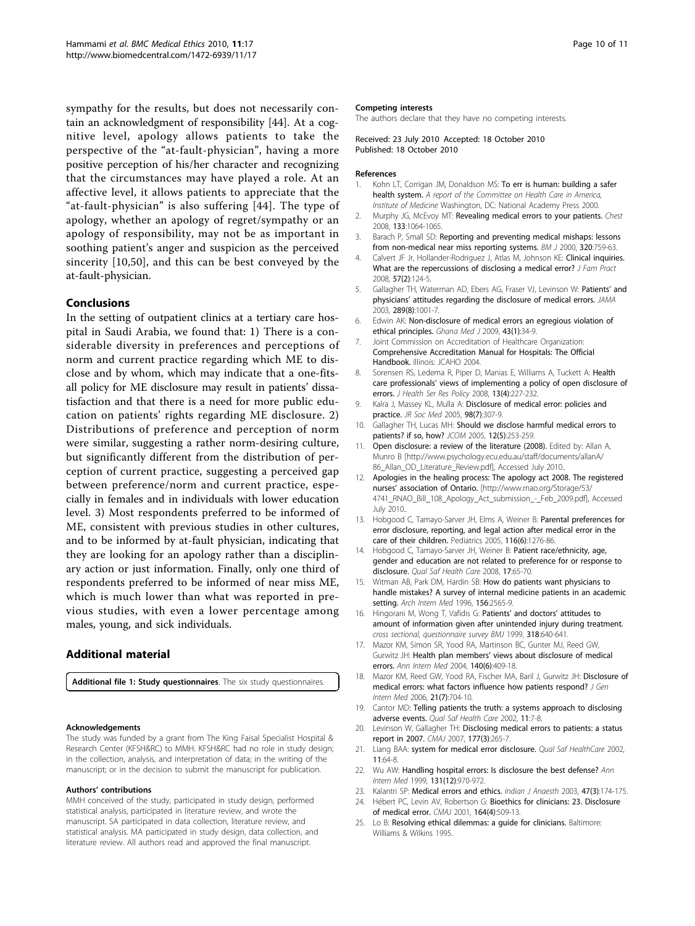<span id="page-9-0"></span>sympathy for the results, but does not necessarily contain an acknowledgment of responsibility [\[44\]](#page-10-0). At a cognitive level, apology allows patients to take the perspective of the "at-fault-physician", having a more positive perception of his/her character and recognizing that the circumstances may have played a role. At an affective level, it allows patients to appreciate that the "at-fault-physician" is also suffering [[44](#page-10-0)]. The type of apology, whether an apology of regret/sympathy or an apology of responsibility, may not be as important in soothing patient's anger and suspicion as the perceived sincerity [10,[50](#page-10-0)], and this can be best conveyed by the at-fault-physician.

#### Conclusions

In the setting of outpatient clinics at a tertiary care hospital in Saudi Arabia, we found that: 1) There is a considerable diversity in preferences and perceptions of norm and current practice regarding which ME to disclose and by whom, which may indicate that a one-fitsall policy for ME disclosure may result in patients' dissatisfaction and that there is a need for more public education on patients' rights regarding ME disclosure. 2) Distributions of preference and perception of norm were similar, suggesting a rather norm-desiring culture, but significantly different from the distribution of perception of current practice, suggesting a perceived gap between preference/norm and current practice, especially in females and in individuals with lower education level. 3) Most respondents preferred to be informed of ME, consistent with previous studies in other cultures, and to be informed by at-fault physician, indicating that they are looking for an apology rather than a disciplinary action or just information. Finally, only one third of respondents preferred to be informed of near miss ME, which is much lower than what was reported in previous studies, with even a lower percentage among males, young, and sick individuals.

## Additional material

[Additional file 1: S](http://www.biomedcentral.com/content/supplementary/1472-6939-11-17-S1.DOC)tudy questionnaires. The six study questionnaires.

#### Acknowledgements

The study was funded by a grant from The King Faisal Specialist Hospital & Research Center (KFSH&RC) to MMH. KFSH&RC had no role in study design; in the collection, analysis, and interpretation of data; in the writing of the manuscript; or in the decision to submit the manuscript for publication.

#### Authors' contributions

MMH conceived of the study, participated in study design, performed statistical analysis, participated in literature review, and wrote the manuscript. SA participated in data collection, literature review, and statistical analysis. MA participated in study design, data collection, and literature review. All authors read and approved the final manuscript.

#### Competing interests

The authors declare that they have no competing interests.

#### Received: 23 July 2010 Accepted: 18 October 2010 Published: 18 October 2010

#### References

- 1. Kohn LT, Corrigan JM, Donaldson MS: To err is human: building a safer health system. A report of the Committee on Health Care in America, Institute of Medicine Washington, DC: National Academy Press 2000.
- 2. Murphy JG, McEvoy MT: [Revealing medical errors to your patients.](http://www.ncbi.nlm.nih.gov/pubmed/18460511?dopt=Abstract) Chest 2008, 133:1064-1065.
- 3. Barach P, Small SD: Reporting and preventing medical mishaps: lessons from non-medical near miss reporting systems. BM J 2000, 320:759-63.
- Calvert JF Jr, Hollander-Rodriguez J, Atlas M, Johnson KE: [Clinical inquiries.](http://www.ncbi.nlm.nih.gov/pubmed/18248735?dopt=Abstract) [What are the repercussions of disclosing a medical error?](http://www.ncbi.nlm.nih.gov/pubmed/18248735?dopt=Abstract) J Fam Pract 2008, 57(2):124-5.
- 5. Gallagher TH, Waterman AD, Ebers AG, Fraser VJ, Levinson W: [Patients](http://www.ncbi.nlm.nih.gov/pubmed/12597752?dopt=Abstract)' and physicians' [attitudes regarding the disclosure of medical errors.](http://www.ncbi.nlm.nih.gov/pubmed/12597752?dopt=Abstract) JAMA 2003, 289(8):1001-7.
- 6. Edwin AK: [Non-disclosure of medical errors an egregious violation of](http://www.ncbi.nlm.nih.gov/pubmed/19652753?dopt=Abstract) [ethical principles.](http://www.ncbi.nlm.nih.gov/pubmed/19652753?dopt=Abstract) Ghana Med J 2009, 43(1):34-9.
- 7. Joint Commission on Accreditation of Healthcare Organization: Comprehensive Accreditation Manual for Hospitals: The Official Handbook. Illinois: JCAHO 2004.
- 8. Sorensen RS, Ledema R, Piper D, Manias E, Williams A, Tuckett A: Health care professionals' views of implementing a policy of open disclosure of errors. J Health Ser Res Policy 2008, 13(4):227-232.
- 9. Kalra J, Massey KL, Mulla A: Disclosure of medical error: policies and practice. JR Soc Med 2005, 98(7):307-9.
- 10. Gallagher TH, Lucas MH: Should we disclose harmful medical errors to patients? if so, how? JCOM 2005, 12(5):253-259.
- 11. Open disclosure: a review of the literature (2008). Edited by: Allan A, Munro B [[http://www.psychology.ecu.edu.au/staff/documents/allanA/](http://www.psychology.ecu.edu.au/staff/documents/allanA/86_Allan_OD_Literature_Review.pdf) [86\\_Allan\\_OD\\_Literature\\_Review.pdf\]](http://www.psychology.ecu.edu.au/staff/documents/allanA/86_Allan_OD_Literature_Review.pdf), Accessed July 2010..
- 12. Apologies in the healing process: The apology act 2008. The registered nurses' association of Ontario. [[http://www.rnao.org/Storage/53/](http://www.rnao.org/Storage/53/4741_RNAO_Bill_108_Apology_Act_submission_-_Feb_2009.pdf) [4741\\_RNAO\\_Bill\\_108\\_Apology\\_Act\\_submission\\_-\\_Feb\\_2009.pdf](http://www.rnao.org/Storage/53/4741_RNAO_Bill_108_Apology_Act_submission_-_Feb_2009.pdf)], Accessed July 2010..
- 13. Hobgood C, Tamayo-Sarver JH, Elms A, Weiner B: Parental preferences for error disclosure, reporting, and legal action after medical error in the care of their children. Pediatrics 2005, 116(6):1276-86.
- 14. Hobgood C, Tamayo-Sarver JH, Weiner B: [Patient race/ethnicity, age,](http://www.ncbi.nlm.nih.gov/pubmed/18245222?dopt=Abstract) [gender and education are not related to preference for or response to](http://www.ncbi.nlm.nih.gov/pubmed/18245222?dopt=Abstract) [disclosure.](http://www.ncbi.nlm.nih.gov/pubmed/18245222?dopt=Abstract) Qual Saf Health Care 2008, 17:65-70.
- 15. Witman AB, Park DM, Hardin SB: [How do patients want physicians to](http://www.ncbi.nlm.nih.gov/pubmed/8951299?dopt=Abstract) [handle mistakes? A survey of internal medicine patients in an academic](http://www.ncbi.nlm.nih.gov/pubmed/8951299?dopt=Abstract) [setting.](http://www.ncbi.nlm.nih.gov/pubmed/8951299?dopt=Abstract) Arch Intern Med 1996, 156:2565-9.
- 16. Hingorani M, Wong T, Vafidis G: Patients' and doctors' attitudes to amount of information given after unintended injury during treatment. cross sectional, questionnaire survey BMJ 1999, 318:640-641.
- 17. Mazor KM, Simon SR, Yood RA, Martinson BC, Gunter MJ, Reed GW, Gurwitz JH: Health plan members' [views about disclosure of medical](http://www.ncbi.nlm.nih.gov/pubmed/15023706?dopt=Abstract) [errors.](http://www.ncbi.nlm.nih.gov/pubmed/15023706?dopt=Abstract) Ann Intern Med 2004, 140(6):409-18.
- 18. Mazor KM, Reed GW, Yood RA, Fischer MA, Baril J, Gurwitz JH: [Disclosure of](http://www.ncbi.nlm.nih.gov/pubmed/16808770?dopt=Abstract) [medical errors: what factors influence how patients respond?](http://www.ncbi.nlm.nih.gov/pubmed/16808770?dopt=Abstract) J Gen Intern Med 2006, 21(7):704-10.
- 19. Cantor MD: [Telling patients the truth: a systems approach to disclosing](http://www.ncbi.nlm.nih.gov/pubmed/12078375?dopt=Abstract) [adverse events.](http://www.ncbi.nlm.nih.gov/pubmed/12078375?dopt=Abstract) Qual Saf Health Care 2002, 11:7-8.
- 20. Levinson W, Gallagher TH: [Disclosing medical errors to patients: a status](http://www.ncbi.nlm.nih.gov/pubmed/17664451?dopt=Abstract) [report in 2007.](http://www.ncbi.nlm.nih.gov/pubmed/17664451?dopt=Abstract) CMAJ 2007, 177(3):265-7.
- 21. Liang BAA: system for medical error disclosure. Qual Saf HealthCare 2002, 11:64-8.
- 22. Wu AW: [Handling hospital errors: Is disclosure the best defense?](http://www.ncbi.nlm.nih.gov/pubmed/10610651?dopt=Abstract) Ann Intern Med 1999, 131(12):970-972.
- 23. Kalantri SP: Medical errors and ethics. *Indian J Anaesth* 2003, 47(3):174-175.
- 24. Hébert PC, Levin AV, Robertson G: [Bioethics for clinicians: 23. Disclosure](http://www.ncbi.nlm.nih.gov/pubmed/11233873?dopt=Abstract) [of medical error.](http://www.ncbi.nlm.nih.gov/pubmed/11233873?dopt=Abstract) CMAJ 2001, 164(4):509-13.
- 25. Lo B: Resolving ethical dilemmas: a guide for clinicians. Baltimore: Williams & Wilkins 1995.